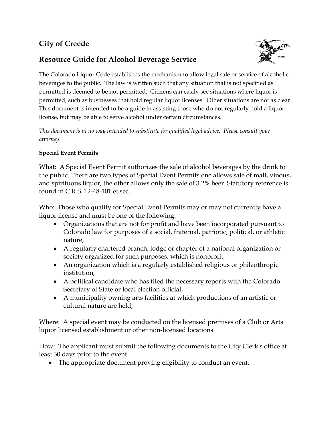# **City of Creede**

## **Resource Guide for Alcohol Beverage Service**



The Colorado Liquor Code establishes the mechanism to allow legal sale or service of alcoholic beverages to the public. The law is written such that any situation that is not specified as permitted is deemed to be not permitted. Citizens can easily see situations where liquor is permitted, such as businesses that hold regular liquor licenses. Other situations are not as clear. This document is intended to be a guide in assisting those who do not regularly hold a liquor license, but may be able to serve alcohol under certain circumstances.

*This document is in no way intended to substitute for qualified legal advice. Please consult your attorney.*

### **Special Event Permits**

What: A Special Event Permit authorizes the sale of alcohol beverages by the drink to the public. There are two types of Special Event Permits one allows sale of malt, vinous, and spirituous liquor, the other allows only the sale of 3.2% beer. Statutory reference is found in C.R.S. 12-48-101 et sec.

Who: Those who qualify for Special Event Permits may or may not currently have a liquor license and must be one of the following:

- Organizations that are not for profit and have been incorporated pursuant to Colorado law for purposes of a social, fraternal, patriotic, political, or athletic nature,
- A regularly chartered branch, lodge or chapter of a national organization or society organized for such purposes, which is nonprofit,
- An organization which is a regularly established religious or philanthropic institution,
- A political candidate who has filed the necessary reports with the Colorado Secretary of State or local election official,
- A municipality owning arts facilities at which productions of an artistic or cultural nature are held,

Where: A special event may be conducted on the licensed premises of a Club or Arts liquor licensed establishment or other non-licensed locations.

How: The applicant must submit the following documents to the City Clerk's office at least 30 days prior to the event

• The appropriate document proving eligibility to conduct an event.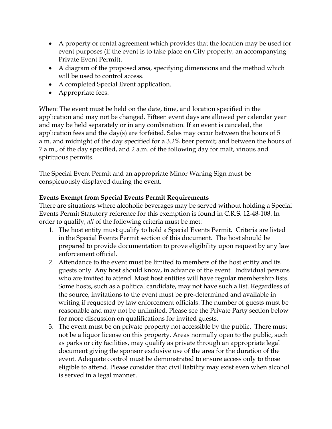- A property or rental agreement which provides that the location may be used for event purposes (if the event is to take place on City property, an accompanying Private Event Permit).
- A diagram of the proposed area, specifying dimensions and the method which will be used to control access.
- A completed Special Event application.
- Appropriate fees.

When: The event must be held on the date, time, and location specified in the application and may not be changed. Fifteen event days are allowed per calendar year and may be held separately or in any combination. If an event is canceled, the application fees and the day(s) are forfeited. Sales may occur between the hours of 5 a.m. and midnight of the day specified for a 3.2% beer permit; and between the hours of 7 a.m., of the day specified, and 2 a.m. of the following day for malt, vinous and spirituous permits.

The Special Event Permit and an appropriate Minor Waning Sign must be conspicuously displayed during the event.

## **Events Exempt from Special Events Permit Requirements**

There are situations where alcoholic beverages may be served without holding a Special Events Permit Statutory reference for this exemption is found in C.R.S. 12-48-108. In order to qualify, *all* of the following criteria must be met:

- 1. The host entity must qualify to hold a Special Events Permit. Criteria are listed in the Special Events Permit section of this document. The host should be prepared to provide documentation to prove eligibility upon request by any law enforcement official.
- 2. Attendance to the event must be limited to members of the host entity and its guests only. Any host should know, in advance of the event. Individual persons who are invited to attend. Most host entities will have regular membership lists. Some hosts, such as a political candidate, may not have such a list. Regardless of the source, invitations to the event must be pre-determined and available in writing if requested by law enforcement officials. The number of guests must be reasonable and may not be unlimited. Please see the Private Party section below for more discussion on qualifications for invited guests.
- 3. The event must be on private property not accessible by the public. There must not be a liquor license on this property. Areas normally open to the public, such as parks or city facilities, may qualify as private through an appropriate legal document giving the sponsor exclusive use of the area for the duration of the event. Adequate control must be demonstrated to ensure access only to those eligible to attend. Please consider that civil liability may exist even when alcohol is served in a legal manner.